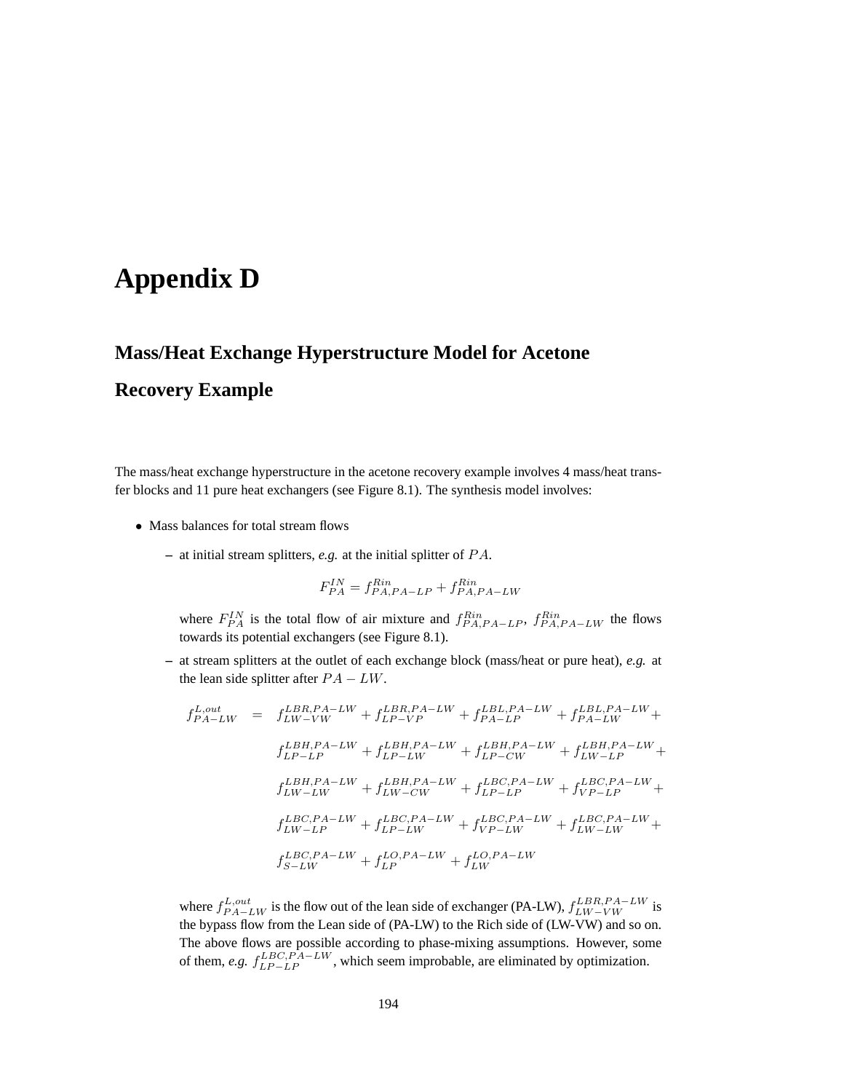## **Appendix D**

## **Mass/Heat Exchange Hyperstructure Model for Acetone**

## **Recovery Example**

The mass/heat exchange hyperstructure in the acetone recovery example involves 4 mass/heat transfer blocks and 11 pure heat exchangers (see Figure 8.1). The synthesis model involves:

- Mass balances for total stream flows
	- **–** at initial stream splitters, *e.g.* at the initial splitter of P A.

$$
F_{PA}^{IN} = f_{PA,PA-LP}^{Rin} + f_{PA,PA-LW}^{Rin}
$$

where  $F_{PA}^{IN}$  is the total flow of air mixture and  $f_{PA,PA-LP}^{Rin}$ ,  $f_{PA,PA-LW}^{Rin}$  the flows towards its potential exchangers (see Figure 8.1).

**–** at stream splitters at the outlet of each exchange block (mass/heat or pure heat), *e.g.* at the lean side splitter after  $PA - LW$ .

$$
f_{PA-LW}^{L,out} = f_{LW-VW}^{LBR,PA-LW} + f_{LP-VP}^{LBL,PA-LW} + f_{PA-LW}^{LBL,PA-LW} + f_{PA-LW}^{LBL,PA-LW} + f_{LP-LW}^{LBH,PA-LW} + f_{LP-LW}^{LBH,PA-LW} + f_{LP-LW}^{LBH,PA-LW} + f_{LP-LW}^{LBH,PA-LW} + f_{LP-UW}^{LBH,PA-LW} + f_{LP-UW}^{LBH,PA-LW} + f_{LP-UW}^{LBE,PA-LW} + f_{LW-LP}^{LBE,PA-LW} + f_{LW-LW}^{LBE,PA-LW} + f_{LW-LW}^{LBE,PA-LW} + f_{LP-LW}^{LBC,PA-LW} + f_{LP-LW}^{LBC,PA-LW} + f_{LP-LW}^{LBC,PA-LW} + f_{LP-UW}^{LBC,PA-LW} + f_{LP-W}^{LBC,PA-LW} + f_{LP-W}^{LBC,PA-LW} + f_{LP}^{LDA,PA-LW} + f_{LP}^{LDA,PA-LW}
$$

where  $f_{PA-LW}^{L,out}$  is the flow out of the lean side of exchanger (PA-LW),  $f_{LW-VW}^{LBR,PA-LW}$  is the bypass flow from the Lean side of (PA-LW) to the Rich side of (LW-VW) and so on. The above flows are possible according to phase-mixing assumptions. However, some of them, *e.g.*  $f_{LP-LP}^{LBC, PA-LW}$ , which seem improbable, are eliminated by optimization.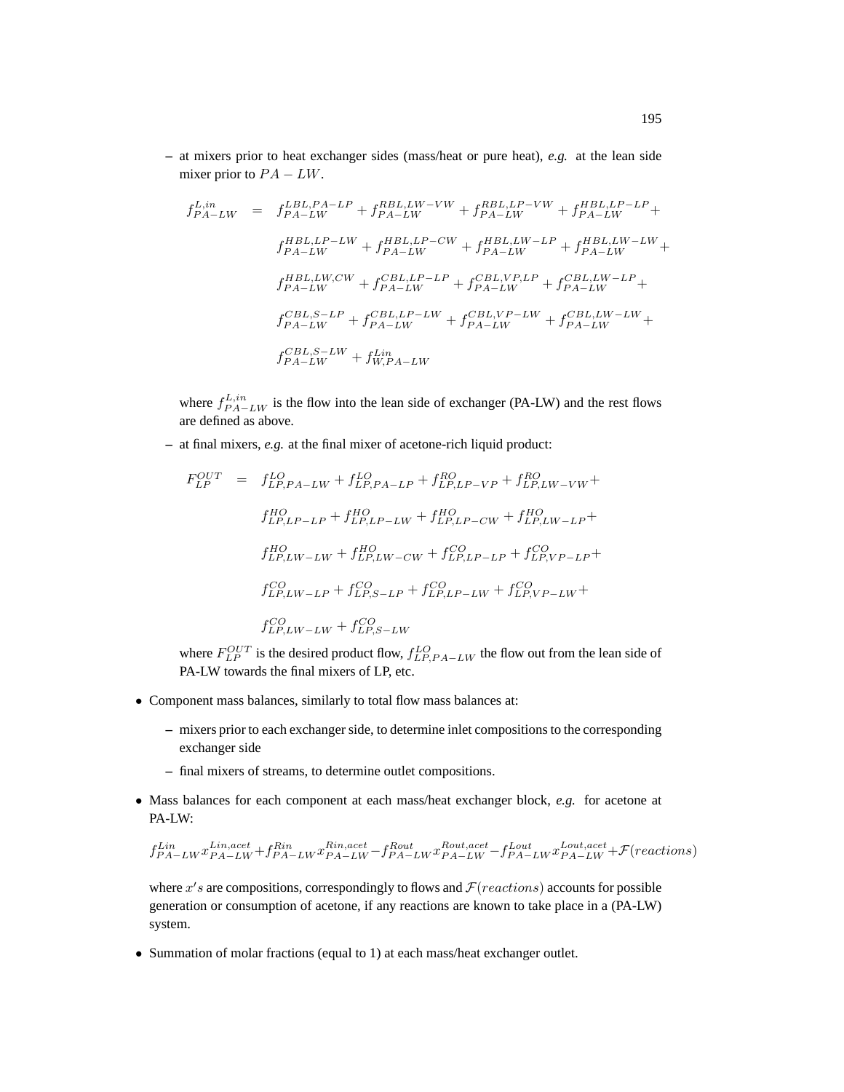**–** at mixers prior to heat exchanger sides (mass/heat or pure heat), *e.g.* at the lean side mixer prior to  $PA - LW$ .

$$
f_{PA-LW}^{L,in} = f_{PA-LW}^{EBL,PA-LP} + f_{PA-LW}^{RBL,LU-VW} + f_{PA-LW}^{RBL,LP-VW} + f_{PA-LW}^{HBL,LP-LP} +
$$
  
\n
$$
f_{PA-LW}^{HBL,LP-LW} + f_{PA-LW}^{HBL,LP-CW} + f_{PA-LW}^{HBL,LU-V-LP} + f_{PA-LW}^{HBL,LU-V-LW} +
$$
  
\n
$$
f_{PA-LW}^{HBL,EW,CW} + f_{PA-LW}^{CBL,LP-LP} + f_{PA-LW}^{CBL,VP,LP} + f_{PA-LW}^{CBL,LU-V-LP} +
$$
  
\n
$$
f_{PA-LW}^{CBL, S-LP} + f_{PA-LW}^{CBL,LP-LW} + f_{PA-LW}^{CBL,VP-LW} + f_{PA-LW}^{CBL,LU-V}
$$
  
\n
$$
f_{PA-LW}^{CBL, S-LW} + f_{WA-LW}^{L,in}
$$

where  $f_{PA-LW}^{L,in}$  is the flow into the lean side of exchanger (PA-LW) and the rest flows are defined as above.

**–** at final mixers, *e.g.* at the final mixer of acetone-rich liquid product:

$$
F_{LP}^{OUT} = f_{LP,PA-LW}^{LO} + f_{LP,PA-LP}^{LO} + f_{LP,LP-VP}^{RO} + f_{LP,LW-VW}^{RO} + f_{LP,LP-LP}^{HO} + f_{LP,LP-LW}^{HO} + f_{LP,LP-LW}^{HO} + f_{LP,LW-LP}^{HO} + f_{LP,LW-LW}^{HO} + f_{LP,LW-CW}^{HO} + f_{LP,LW-CW}^{CO} + f_{LP,LP-LP}^{CO} + f_{LP,VP-LP}^{CO} + f_{LP,LW-LW}^{CO} + f_{LP,LW-LW}^{CO} + f_{LP,LW-LW}^{CO} + f_{LP,LW-LW}^{CO} + f_{LP,LW-LW}^{CO} + f_{LP,LW-LW}^{CO}
$$

where  $F_{LP}^{OUT}$  is the desired product flow,  $f_{LP,PA-LW}^{LO}$  the flow out from the lean side of PA-LW towards the final mixers of LP, etc.

- Component mass balances, similarly to total flow mass balances at:
	- **–** mixers prior to each exchanger side, to determine inlet compositions to the corresponding exchanger side
	- **–** final mixers of streams, to determine outlet compositions.
- Mass balances for each component at each mass/heat exchanger block, *e.g.* for acetone at PA-LW:

$$
f^{Lin}_{PA-LW}x^{Lin,act}_{PA-LW}+f^{Rin}_{PA-LW}x^{Rin,acet}_{PA-LW}-f^{Rout}_{PA-LW}x^{Rout,acet}_{PA-LW}+f^{Lout}_{PA-LW}x^{Lout,acet}_{PA-LW}+\mathcal{F}(reactions)
$$

where  $x's$  are compositions, correspondingly to flows and  $\mathcal{F}(reactions)$  accounts for possible generation or consumption of acetone, if any reactions are known to take place in a (PA-LW) system.

• Summation of molar fractions (equal to 1) at each mass/heat exchanger outlet.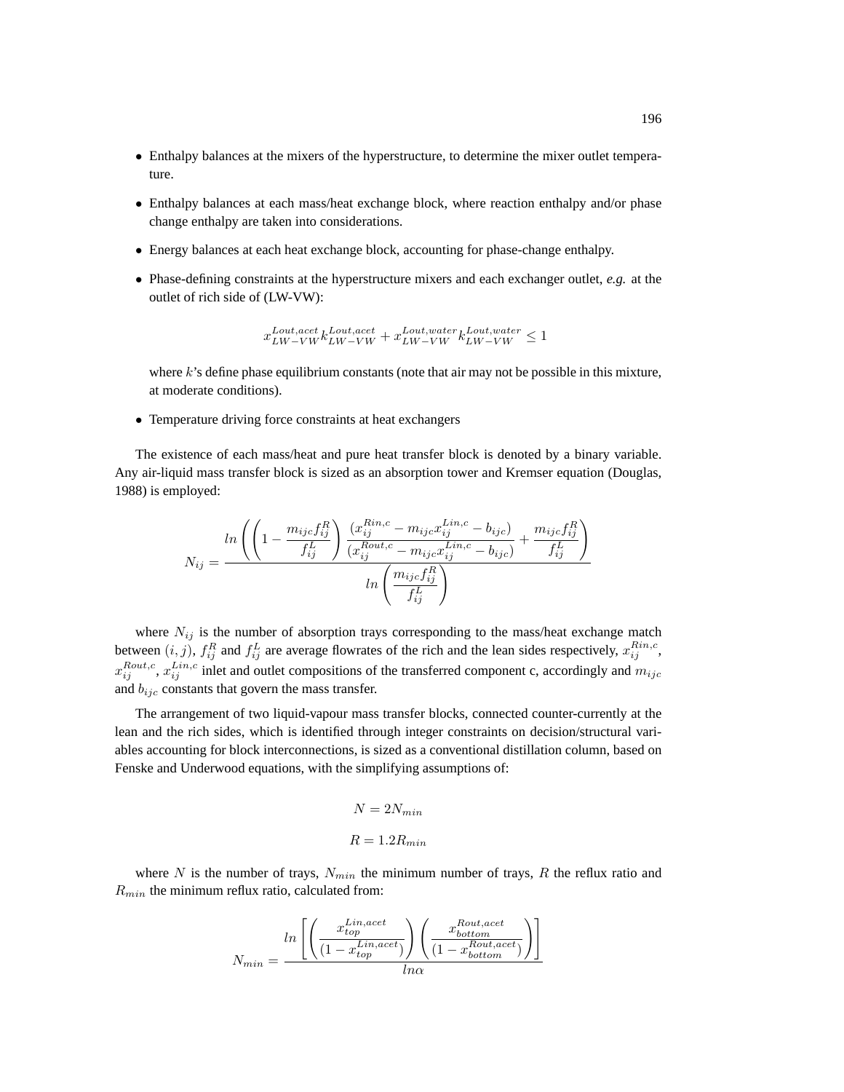- Enthalpy balances at the mixers of the hyperstructure, to determine the mixer outlet temperature.
- Enthalpy balances at each mass/heat exchange block, where reaction enthalpy and/or phase change enthalpy are taken into considerations.
- Energy balances at each heat exchange block, accounting for phase-change enthalpy.
- Phase-defining constraints at the hyperstructure mixers and each exchanger outlet, *e.g.* at the outlet of rich side of (LW-VW):

$$
x_{LW-VW}^{Lout,acet}k_{LW-VW}^{Lout,water}+x_{LW-VW}^{Lout,water}k_{LW-VW}^{Lout,water} \leq 1
$$

where  $k$ 's define phase equilibrium constants (note that air may not be possible in this mixture, at moderate conditions).

• Temperature driving force constraints at heat exchangers

The existence of each mass/heat and pure heat transfer block is denoted by a binary variable. Any air-liquid mass transfer block is sized as an absorption tower and Kremser equation (Douglas, 1988) is employed:

$$
N_{ij} = \frac{ln\left(\left(1 - \frac{m_{ijc}f_{ij}^R}{f_{ij}^L}\right)\frac{(x_{ij}^{Rin,c} - m_{ijc}x_{ij}^{Lin,c} - b_{ijc})}{(x_{ij}^{Rout,c} - m_{ijc}x_{ij}^{Lin,c} - b_{ijc})} + \frac{m_{ijc}f_{ij}^R}{f_{ij}^L}\right)}{ln\left(\frac{m_{ijc}f_{ij}^R}{f_{ij}^L}\right)}
$$

where  $N_{ij}$  is the number of absorption trays corresponding to the mass/heat exchange match between  $(i, j)$ ,  $f_{ij}^R$  and  $f_{ij}^L$  are average flowrates of the rich and the lean sides respectively,  $x_{ij}^{Rin,c}$ ,  $x_{ij}^{Rout,c}$ ,  $x_{ij}^{Lin,c}$  inlet and outlet compositions of the transferred component c, accordingly and  $m_{ijc}$ and  $b_{ijc}$  constants that govern the mass transfer.

The arrangement of two liquid-vapour mass transfer blocks, connected counter-currently at the lean and the rich sides, which is identified through integer constraints on decision/structural variables accounting for block interconnections, is sized as a conventional distillation column, based on Fenske and Underwood equations, with the simplifying assumptions of:

$$
N = 2N_{min}
$$
  

$$
R = 1.2R_{min}
$$

where N is the number of trays,  $N_{min}$  the minimum number of trays, R the reflux ratio and  $R_{min}$  the minimum reflux ratio, calculated from:

$$
N_{min} = \frac{ln\left[\left(\frac{x_{top}^{Lin,acet}}{(1-x_{top}^{Lin,acet})}\right)\left(\frac{x_{bottom}^{Rout,acet}}{(1-x_{bottom}^{Rout,acet})}\right)\right]}{ln\alpha}
$$